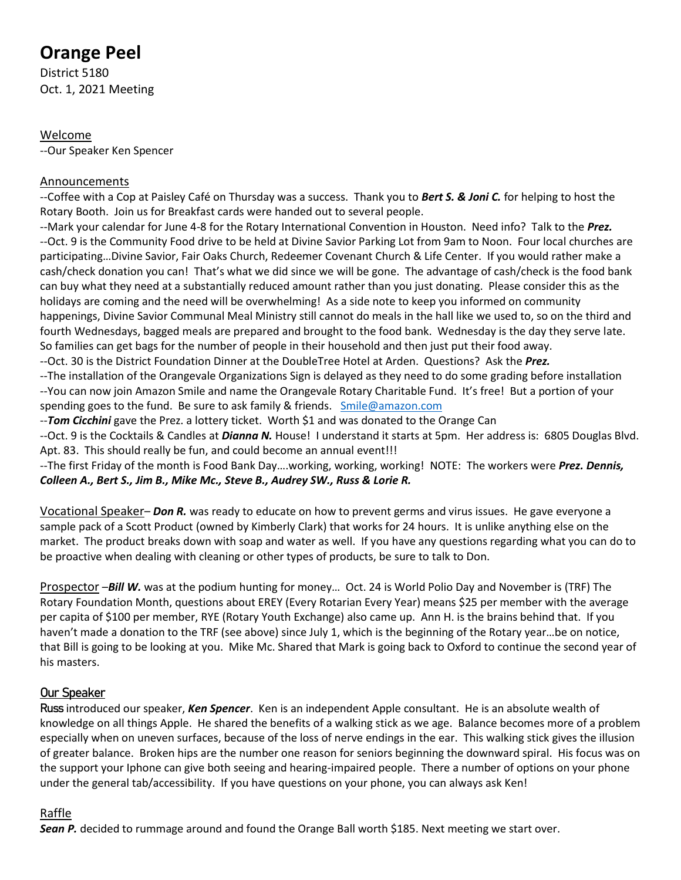# **Orange Peel**

District 5180 Oct. 1, 2021 Meeting

### Welcome

--Our Speaker Ken Spencer

## **Announcements**

--Coffee with a Cop at Paisley Café on Thursday was a success. Thank you to *Bert S. & Joni C.* for helping to host the Rotary Booth. Join us for Breakfast cards were handed out to several people.

--Mark your calendar for June 4-8 for the Rotary International Convention in Houston. Need info? Talk to the *Prez.* --Oct. 9 is the Community Food drive to be held at Divine Savior Parking Lot from 9am to Noon. Four local churches are participating…Divine Savior, Fair Oaks Church, Redeemer Covenant Church & Life Center. If you would rather make a cash/check donation you can! That's what we did since we will be gone. The advantage of cash/check is the food bank can buy what they need at a substantially reduced amount rather than you just donating. Please consider this as the holidays are coming and the need will be overwhelming! As a side note to keep you informed on community happenings, Divine Savior Communal Meal Ministry still cannot do meals in the hall like we used to, so on the third and fourth Wednesdays, bagged meals are prepared and brought to the food bank. Wednesday is the day they serve late. So families can get bags for the number of people in their household and then just put their food away. --Oct. 30 is the District Foundation Dinner at the DoubleTree Hotel at Arden. Questions? Ask the *Prez.*

--The installation of the Orangevale Organizations Sign is delayed as they need to do some grading before installation --You can now join Amazon Smile and name the Orangevale Rotary Charitable Fund. It's free! But a portion of your spending goes to the fund. Be sure to ask family & friends. [Smile@amazon.com](mailto:Smile@amazon.com)

--*Tom Cicchini* gave the Prez. a lottery ticket. Worth \$1 and was donated to the Orange Can

--Oct. 9 is the Cocktails & Candles at *Dianna N.* House! I understand it starts at 5pm. Her address is: 6805 Douglas Blvd. Apt. 83. This should really be fun, and could become an annual event!!!

--The first Friday of the month is Food Bank Day….working, working, working! NOTE: The workers were *Prez. Dennis, Colleen A., Bert S., Jim B., Mike Mc., Steve B., Audrey SW., Russ & Lorie R.*

Vocational Speaker– *Don R.* was ready to educate on how to prevent germs and virus issues. He gave everyone a sample pack of a Scott Product (owned by Kimberly Clark) that works for 24 hours. It is unlike anything else on the market. The product breaks down with soap and water as well. If you have any questions regarding what you can do to be proactive when dealing with cleaning or other types of products, be sure to talk to Don.

Prospector –*Bill W.* was at the podium hunting for money… Oct. 24 is World Polio Day and November is (TRF) The Rotary Foundation Month, questions about EREY (Every Rotarian Every Year) means \$25 per member with the average per capita of \$100 per member, RYE (Rotary Youth Exchange) also came up. Ann H. is the brains behind that. If you haven't made a donation to the TRF (see above) since July 1, which is the beginning of the Rotary year…be on notice, that Bill is going to be looking at you. Mike Mc. Shared that Mark is going back to Oxford to continue the second year of his masters.

## Our Speaker

Russ introduced our speaker, *Ken Spencer*. Ken is an independent Apple consultant. He is an absolute wealth of knowledge on all things Apple. He shared the benefits of a walking stick as we age. Balance becomes more of a problem especially when on uneven surfaces, because of the loss of nerve endings in the ear. This walking stick gives the illusion of greater balance. Broken hips are the number one reason for seniors beginning the downward spiral. His focus was on the support your Iphone can give both seeing and hearing-impaired people. There a number of options on your phone under the general tab/accessibility. If you have questions on your phone, you can always ask Ken!

## Raffle

**Sean P.** decided to rummage around and found the Orange Ball worth \$185. Next meeting we start over.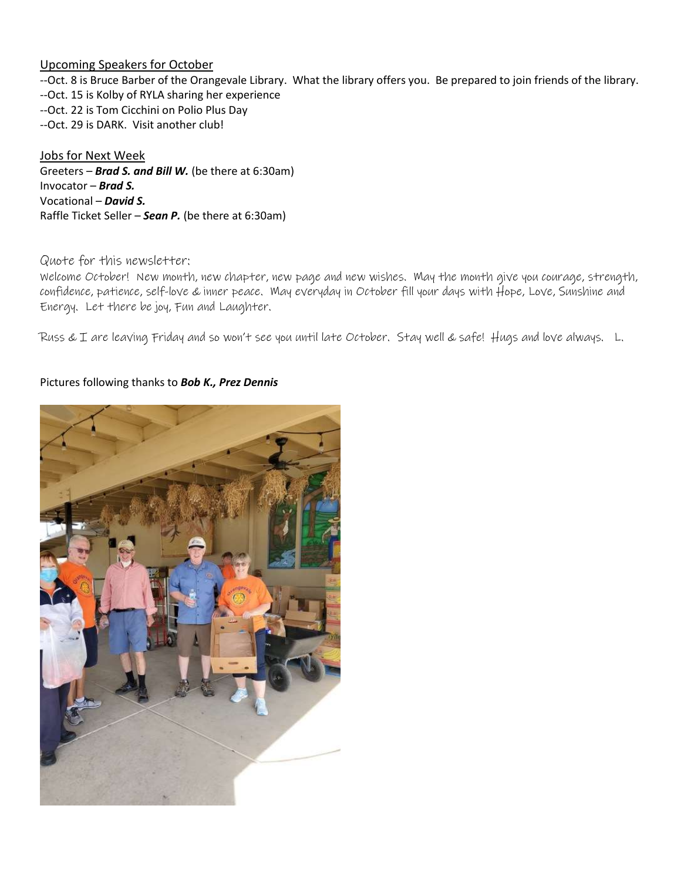#### Upcoming Speakers for October

--Oct. 8 is Bruce Barber of the Orangevale Library. What the library offers you. Be prepared to join friends of the library. --Oct. 15 is Kolby of RYLA sharing her experience --Oct. 22 is Tom Cicchini on Polio Plus Day --Oct. 29 is DARK. Visit another club!

Jobs for Next Week Greeters – *Brad S. and Bill W.* (be there at 6:30am) Invocator – *Brad S.* Vocational – *David S.* Raffle Ticket Seller – *Sean P.* (be there at 6:30am)

#### Quote for this newsletter:

Welcome October! New month, new chapter, new page and new wishes. May the month give you courage, strength, confidence, patience, self-love & inner peace. May everyday in October fill your days with Hope, Love, Sunshine and Energy. Let there be joy, Fun and Laughter.

Russ & I are leaving Friday and so won't see you until late October. Stay well & safe! Hugs and love always. L.

#### Pictures following thanks to *Bob K., Prez Dennis*